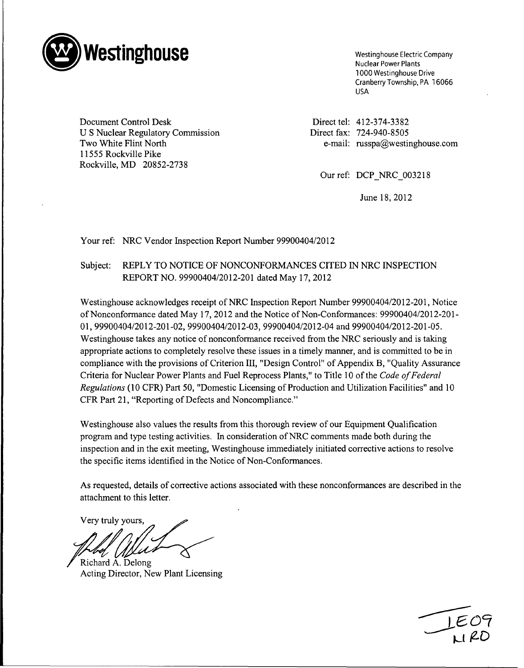

1000 Westinghouse Drive Cranberry Township, PA 16066 USA

Document Control Desk Direct tel: 412-374-3382 U S Nuclear Regulatory Commission Direct fax: 724-940-8505 11555 Rockville Pike Rockville, MD 20852-2738

Two White Flint North e-mail: russpa@westinghouse.com

Our ref: DCP NRC 003218

June 18, 2012

Your ref: NRC Vendor Inspection Report Number 99900404/2012

## Subject: REPLY TO NOTICE OF NONCONFORMANCES CITED IN NRC INSPECTION REPORT NO. 99900404/2012-201 dated May 17, 2012

Westinghouse acknowledges receipt of NRC Inspection Report Number 99900404/2012-201, Notice of Nonconformance dated May 17, 2012 and the Notice of Non-Conformances: 99900404/2012-201 **-** 01, 99900404/2012-201-02, 99900404/2012-03, 99900404/2012-04 and 99900404/2012-201-05. Westinghouse takes any notice of nonconformance received from the NRC seriously and is taking appropriate actions to completely resolve these issues in a timely manner, and is committed to be in compliance with the provisions of Criterion III, "Design Control" of Appendix B, "Quality Assurance Criteria for Nuclear Power Plants and Fuel Reprocess Plants," to Title 10 of the *Code of Federal Regulations* (10 CFR) Part 50, "Domestic Licensing of Production and Utilization Facilities" and 10 CFR Part 21, "Reporting of Defects and Noncompliance."

Westinghouse also values the results from this thorough review of our Equipment Qualification program and type testing activities. In consideration of NRC comments made both during the inspection and in the exit meeting, Westinghouse immediately initiated corrective actions to resolve the specific items identified in the Notice of Non-Conformances.

As requested, details of corrective actions associated with these nonconformances are described in the attachment to this letter.

Very truly yours,

/ Richard **A.** Delong Acting Director, New Plant Licensing

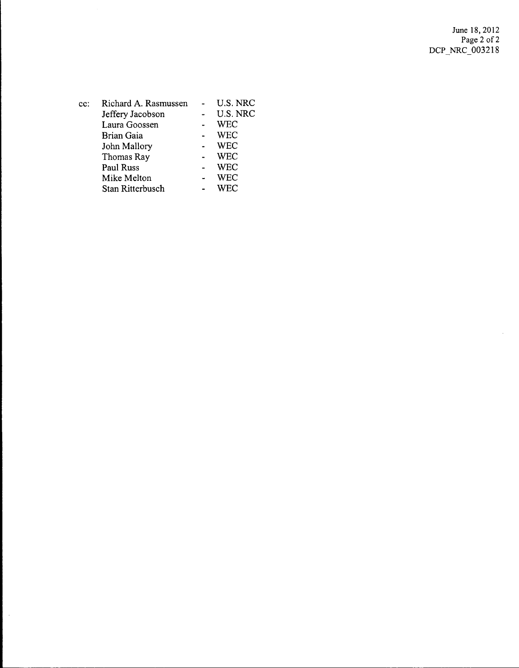$\hat{\mathcal{L}}$ 

| $cc$ : | Richard A. Rasmussen | U.S. NRC   |
|--------|----------------------|------------|
|        | Jeffery Jacobson     | U.S. NRC   |
|        | Laura Goossen        | WEC        |
|        | Brian Gaia           | <b>WEC</b> |
|        | John Mallory         | WEC        |
|        | Thomas Ray           | WEC        |
|        | Paul Russ            | WEC        |
|        | Mike Melton          | WEC        |
|        | Stan Ritterbusch     | WEC        |
|        |                      |            |

 $\bar{\beta}$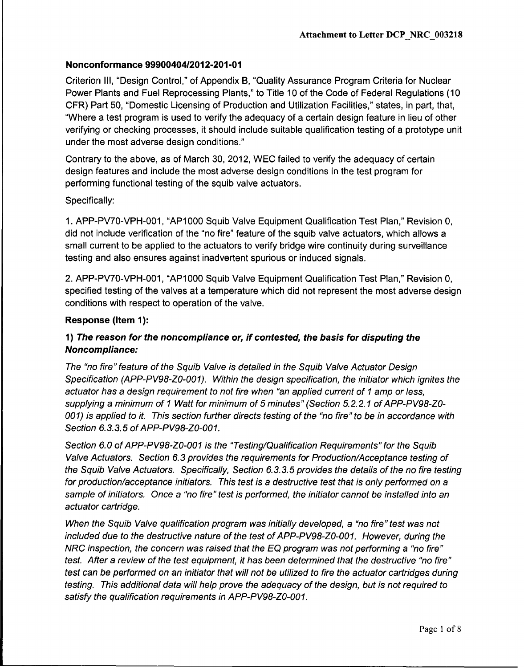Criterion Ill, "Design Control," of Appendix B, "Quality Assurance Program Criteria for Nuclear Power Plants and Fuel Reprocessing Plants," to Title 10 of the Code of Federal Regulations (10 CFR) Part 50, "Domestic Licensing of Production and Utilization Facilities," states, in part, that, "Where a test program is used to verify the adequacy of a certain design feature in lieu of other verifying or checking processes, it should include suitable qualification testing of a prototype unit under the most adverse design conditions."

Contrary to the above, as of March 30, 2012, WEC failed to verify the adequacy of certain design features and include the most adverse design conditions in the test program for performing functional testing of the squib valve actuators.

### Specifically:

1. APP-PV70-VPH-001, "AP1000 Squib Valve Equipment Qualification Test Plan," Revision 0, did not include verification of the "no fire" feature of the squib valve actuators, which allows a small current to be applied to the actuators to verify bridge wire continuity during surveillance testing and also ensures against inadvertent spurious or induced signals.

2. APP-PV70-VPH-001, "AP1000 Squib Valve Equipment Qualification Test Plan," Revision 0, specified testing of the valves at a temperature which did not represent the most adverse design conditions with respect to operation of the valve.

### Response (Item 1):

# 1) *The reason for the noncompliance or, if contested, the basis for disputing the Noncompliance:*

*The "no fire" feature of the Squib Valve is detailed in the Squib Valve Actuator Design Specification (APP-PV98-ZO-001). Within the design specification, the initiator which ignites the actuator has a design requirement to not fire when "an applied current of I amp or less, supplying a minimum of I Watt for minimum of 5 minutes" (Section 5.2.2.1 of APP-PV98-Z0- 001) is applied to it. This section further directs testing of the "no fire" to be in accordance with Section 6.3.3.5 of* APP-PV98-ZO-001.

*Section 6.0 of APP-PV98-ZO-001 is the "Testing/Qualification Requirements" for the Squib Valve Actuators. Section 6.3 provides the requirements for Production/Acceptance testing of the Squib Valve Actuators. Specifically, Section 6.3.3.5 provides the details of the no fire testing for production/acceptance initiators. This test is a destructive test that is only performed on a sample of initiators. Once a "no fire" test is performed, the initiator cannot be installed into an actuator cartridge.*

*When the Squib Valve qualification program was initially developed, a "no fire" test was not included due to the destructive nature of the test of APP-PV98-ZO-001. However, during the NRC inspection, the concern was raised that the EQ program was not performing a "no fire" test. After a review of the test equipment, it has been determined that the destructive "no fire" test can be performed on an initiator that will not be utilized to fire the actuator cartridges during testing. This additional data will help prove the adequacy of the design, but is not required to satisfy the qualification requirements in APP-PV98-ZO-001.*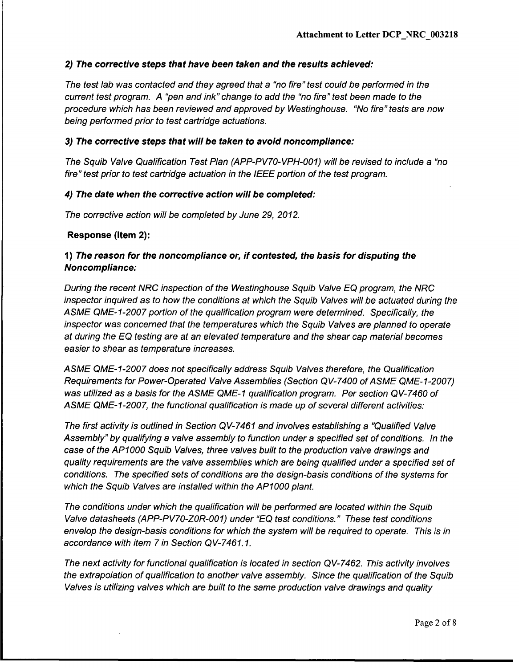# *2) The corrective steps that have been taken and the results achieved:*

*The test lab was contacted and they agreed that a "no fire" test could be performed in the current test program. A "pen and ink" change to add the "no fire" test been made to the procedure which has been reviewed and approved by Westinghouse. "No fire" tests are now being performed prior to test cartridge actuations.*

### **3)** *The corrective steps that will be taken to avoid noncompliance:*

*The Squib Valve Qualification Test Plan (APP-PV70-VPH-O01) will be revised to include a "no fire" test prior to test cartridge actuation in the IEEE portion of the test program.*

#### *4) The date when the corrective action will be completed:*

*The corrective action will be completed by June 29, 2012.*

#### Response (Item 2):

## **1)** *The reason for the noncompliance or, if contested, the basis for disputing the Noncompliance:*

*During the recent NRC inspection of the Westinghouse Squib Valve EQ program, the NRC inspector inquired as to how the conditions at which the Squib Valves will be actuated during the ASME QME-1-2007 portion of the qualification program were determined. Specifically, the inspector was concerned that the temperatures which the Squib Valves are planned to operate at during the EQ testing are at an elevated temperature and the shear cap material becomes easier to shear as temperature increases.*

*ASME QME-1-2007 does not specifically address Squib Valves therefore, the Qualification Requirements for Power-Operated Valve Assemblies (Section QV-7400 of ASME QME-1-2007) was utilized as a basis for the ASME QME-1 qualification program. Per section QV-7460 of ASME QME-1-2007, the functional qualification is made up of several different activities:*

*The first activity is outlined in Section QV-7461 and involves establishing a "Qualified Valve Assembly" by qualifying a valve assembly to function under a specified set of conditions. In the case of the APIO00 Squib Valves, three valves built to the production valve drawings and quality requirements are the valve assemblies which are being qualified under a specified set of conditions. The specified sets of conditions are the design-basis conditions of the systems for which the Squib Valves are installed within the APIO00 plant.*

*The conditions under which the qualification will be performed are located within the Squib Valve datasheets (APP-PV70-ZOR-O01) under "EQ test conditions." These test conditions envelop the design-basis conditions for which the system will be required to operate. This is in accordance with item 7 in Section QV-7461. 1.*

*The next activity for functional qualification is located in section QV-7462. This activity involves the extrapolation of qualification to another valve assembly. Since the qualification of the Squib Valves is utilizing valves which are built to the same production valve drawings and quality*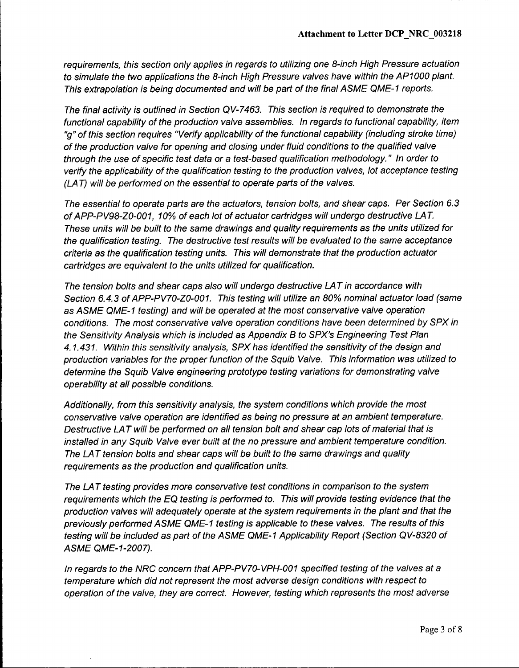*requirements, this section only applies in regards to utilizing one 8-inch High Pressure actuation to simulate the two applications the 8-inch High Pressure valves have within the APIO00 plant. This extrapolation is being documented and will be part of the final ASME QME-1 reports.*

*The final activity is outlined in Section QV-7463. This section is required to demonstrate the functional capability of the production valve assemblies. In regards to functional capability, item "g" of this section requires "Verify applicability of the functional capability (including stroke time) of the production valve for opening and closing under fluid conditions to the qualified valve through the use of specific test data or a test-based qualification methodology." In order to verify the applicability of the qualification testing to the production valves, lot acceptance testing* **(LA** *T) will be performed on the essential to operate parts of the valves.*

*The essential to operate parts are the actuators, tension bolts, and shear caps. Per Section 6.3 of APP-PV98-ZO-001, 10% of each lot of actuator cartridges will undergo destructive LAT. These units will be built to the same drawings and quality requirements as the units utilized for the qualification testing. The destructive test results will be evaluated to the same acceptance criteria as the qualification testing units. This will demonstrate that the production actuator cartridges are equivalent to the units utilized for qualification.*

*The tension bolts and shear caps also will undergo destructive LA T in accordance with Section 6.4.3 of APP-PV70-ZO-001. This testing will utilize an 80% nominal actuator load (same as ASME QME-1 testing) and will be operated at the most conservative valve operation conditions. The most conservative valve operation conditions have been determined by SPX in the Sensitivity Analysis which is included as Appendix B to SPX's Engineering Test Plan 4.1.431. Within this sensitivity analysis, SPX has identified the sensitivity of the design and production variables for the proper function of the Squib Valve. This information was utilized to determine the Squib Valve engineering prototype testing variations for demonstrating valve operability at all possible conditions.*

*Additionally, from this sensitivity analysis, the system conditions which provide the most conservative valve operation are identified as being no pressure at an ambient temperature. Destructive LA T will be performed on all tension bolt and shear cap lots of material that is installed in any Squib Valve ever built at the no pressure and ambient temperature condition. The LA T tension bolts and shear caps will be built to the same drawings and quality requirements as the production and qualification units.*

*The LA T testing provides more conservative test conditions in comparison to the system requirements which the EQ testing is performed to. This will provide testing evidence that the production valves will adequately operate at the system requirements in the plant and that the previously performed ASME QME-1 testing is applicable to these valves. The results of this testing will be included as part of the ASME QME-1 Applicability Report (Section QV-8320 of ASME QME-1-2007).*

*In regards to the NRC concern that APP-PV70-VPH-001 specified testing of the valves at a temperature which did not represent the most adverse design conditions with respect to operation of the valve, they are correct. However, testing which represents the most adverse*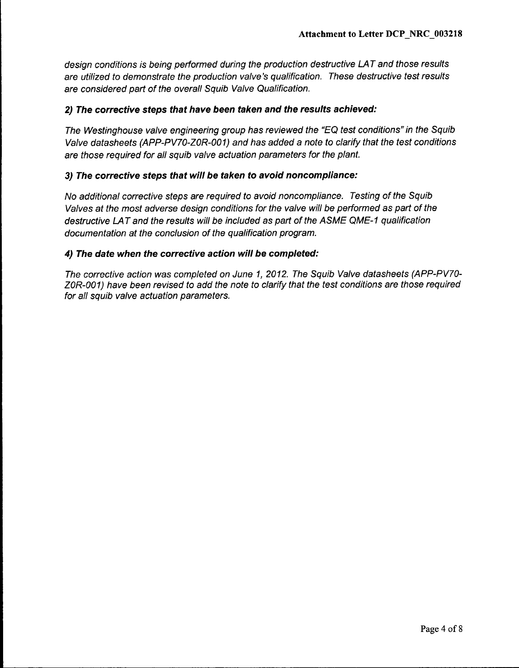design conditions is being performed during the production destructive LAT and those results *are utilized to demonstrate the production valve's qualification. These destructive test results are considered part of the overall Squib Valve Qualification.*

### 2) *The corrective steps that have been taken and the results achieved:*

*The Westinghouse valve engineering group has reviewed the "EQ test conditions" in the Squib Valve datasheets (APP-PV70-ZOR-O01) and has added a note to clarify that the test conditions are those required for all squib valve actuation parameters for the plant.*

#### *3) The corrective steps that will be taken to avoid noncompliance:*

*No additional corrective steps are required to avoid noncompliance. Testing of the Squib Valves at the most adverse design conditions for the valve will be performed as part of the destructive LA T and the results will be included as part of the A SME QME-* **I** *qualification documentation at the conclusion of the qualification program.*

#### *4) The date when the corrective action will be completed:*

*The corrective action was completed on June 1, 2012. The Squib Valve datasheets (APP-PV70- ZOR-O01) have been revised to add the note to clarify that the test conditions are those required for all squib valve actuation parameters.*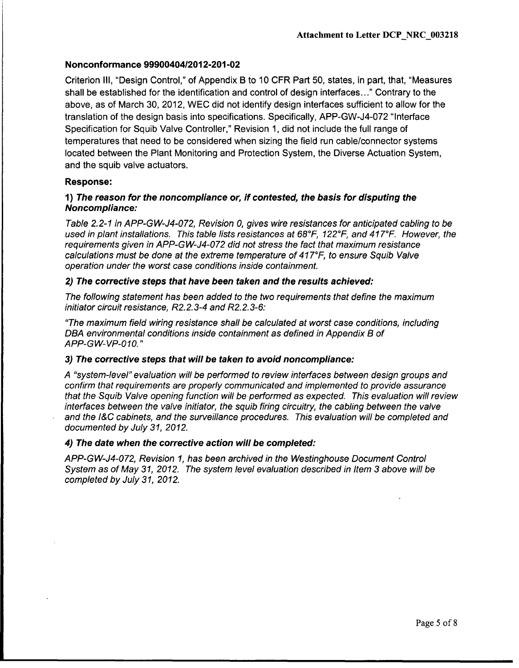Criterion Ill, "Design Control," of Appendix B to 10 CFR Part 50, states, in part, that, "Measures shall be established for the identification and control of design interfaces..." Contrary to the above, as of March 30, 2012, WEC did not identify design interfaces sufficient to allow for the translation of the design basis into specifications. Specifically, APP-GW-J4-072 "Interface Specification for Squib Valve Controller," Revision 1, did not include the full range of temperatures that need to be considered when sizing the field run cable/connector systems located between the Plant Monitoring and Protection System, the Diverse Actuation System, and the squib valve actuators.

## Response:

### **1)** *The reason for the noncompliance* or, *if contested, the basis for disputing the Noncompliance:*

*Table 2.2-1 in APP-GW-J4-072, Revision* **0,** *gives wire resistances for anticipated cabling to be used in plant installations. This table lists resistances at 68*<sup>0</sup>*F, 122*0F, *and 417*<sup>0</sup>*F. However, the requirements given in APP-GW-J4-072 did not stress the fact that maximum resistance calculations must be done at the extreme temperature of 417°F, to ensure Squib Valve operation under the worst case conditions inside containment.*

## *2) The corrective steps that have been taken and the results achieved:*

*The following statement has been added to the two requirements that define the maximum initiator circuit resistance, R2.2.3-4 and R2.2.3-6:*

*"The maximum field wiring resistance shall be calculated at worst case conditions, including DBA environmental conditions inside containment as defined in Appendix B of APP-GW-VP-010."*

### **3)** *The corrective steps that will be taken to avoid noncompliance:*

*A "system-level" evaluation will be performed to review interfaces between design groups and confirm that requirements are properly communicated and implemented to provide assurance that the Squib Valve opening function will be performed as expected. This evaluation will review interfaces between the valve initiator, the squib firing circuitry, the cabling between the valve and the /&C cabinets, and the surveillance procedures. This evaluation will be completed and documented by July 31, 2012.*

### *4) The date when the corrective action will be completed:*

*APP-GW-J4-072, Revision 1, has been archived in the Westinghouse Document Control System as of May 31, 2012. The system level evaluation described in Item 3 above will be completed by July 31, 2012.*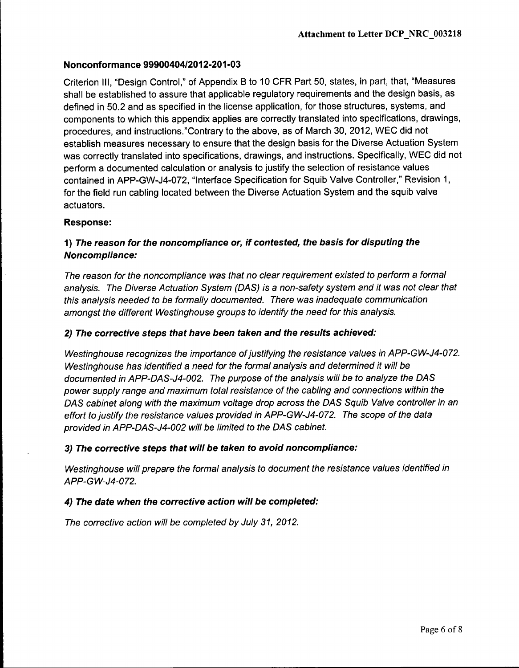Criterion Ill, "Design Control," of Appendix B to 10 CFR Part 50, states, in part, that, "Measures shall be established to assure that applicable regulatory requirements and the design basis, as defined in 50.2 and as specified in the license application, for those structures, systems, and components to which this appendix applies are correctly translated into specifications, drawings, procedures, and instructions."Contrary to the above, as of March 30, 2012, WEC did not establish measures necessary to ensure that the design basis for the Diverse Actuation System was correctly translated into specifications, drawings, and instructions. Specifically, WEC did not perform a documented calculation or analysis to justify the selection of resistance values contained in APP-GW-J4-072, "Interface Specification for Squib Valve Controller," Revision 1, for the field run cabling located between the Diverse Actuation System and the squib valve actuators.

### Response:

# **1)** *The reason for the noncompliance or, if contested, the basis for disputing the Noncompliance:*

*The reason for the noncompliance was that no clear requirement existed to perform a formal analysis. The Diverse Actuation System (DAS) is a non-safety system and it was not clear that this analysis needed to be formally documented. There was inadequate communication amongst the different Westinghouse groups to identify the need for this analysis.*

### 2) *The corrective steps that have been taken and the results achieved:*

*Westinghouse recognizes the importance ofjustifying the resistance values in APP-GW-J4-072. Westinghouse has identified a need for the formal analysis and determined it will be documented in APP-DAS-J4-002. The purpose of the analysis will be to analyze the DAS power supply range and maximum total resistance of the cabling and connections within the DAS cabinet along with the maximum voltage drop across the DAS Squib Valve controller in an effort to justify the resistance values provided in APP-GW-J4-072. The scope of the data provided in APP-DAS-J4-002 will be limited to the DAS cabinet.*

### **3)** *The corrective steps that will be taken to avoid noncompliance:*

*Westinghouse will prepare the formal analysis to document the resistance values identified in APP-GW-J4-072.*

### *4) The date when the corrective action will be completed:*

*The corrective action will be completed by July 31, 2012.*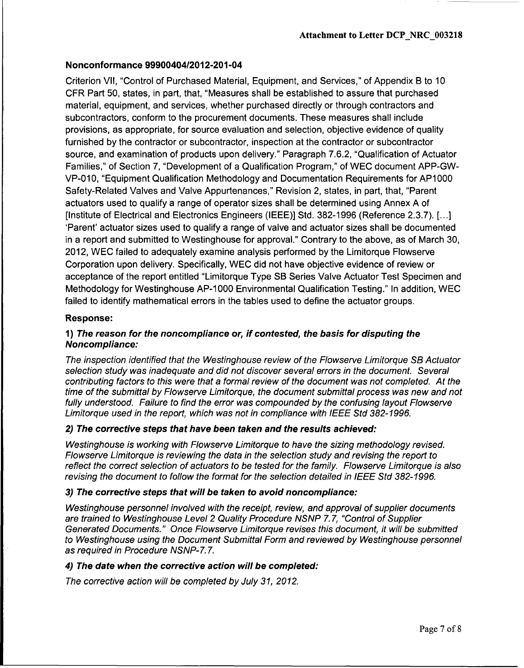Criterion VII, "Control of Purchased Material, Equipment, and Services," of Appendix B to 10 CFR Part 50, states, in part, that, "Measures shall be established to assure that purchased material, equipment, and services, whether purchased directly or through contractors and subcontractors, conform to the procurement documents. These measures shall include provisions, as appropriate, for source evaluation and selection, objective evidence of quality furnished by the contractor or subcontractor, inspection at the contractor or subcontractor source, and examination of products upon delivery." Paragraph 7.6.2, "Qualification of Actuator Families," of Section 7, "Development of a Qualification Program," of WEC document APP-GW-VP-010, "Equipment Qualification Methodology and Documentation Requirements for AP1000 Safety-Related Valves and Valve Appurtenances," Revision 2, states, in part, that, "Parent actuators used to qualify a range of operator sizes shall be determined using Annex A of [Institute of Electrical and Electronics Engineers (IEEE)] Std. 382-1996 (Reference 2.3.7). [...] 'Parent' actuator sizes used to qualify a range of valve and actuator sizes shall be documented in a report and submitted to Westinghouse for approval." Contrary to the above, as of March 30, 2012, WEC failed to adequately examine analysis performed by the Limitorque Flowserve Corporation upon delivery. Specifically, WEC did not have objective evidence of review or acceptance of the report entitled "Limitorque Type SB Series Valve Actuator Test Specimen and Methodology for Westinghouse AP-1000 Environmental Qualification Testing." In addition, WEC failed to identify mathematical errors in the tables used to define the actuator groups.

#### Response:

### **1)** *The reason for the noncompliance or, if contested, the basis for disputing the Noncompliance:*

*The inspection identified that the Westinghouse review of the Flowserve Limitorque SB Actuator selection study was inadequate and did not discover several errors in the document. Several contributing factors to this were that a formal review of the document was not completed. At the time of the submittal by Flowserve Limitorque, the document submittal process was new and not fully understood. Failure to find the error was compounded by the confusing layout Flowserve Limitorque used in the report, which was not in compliance with IEEE Std 382-1996.*

#### *2) The corrective steps that have been taken and the results achieved:*

*Westinghouse is working with Flowserve Limitorque to have the sizing methodology revised. Flowserve Limitorque is reviewing the data in the selection study and revising the report to reflect the correct selection of actuators to be tested for the family. Flowserve Limitorque is also revising the document to follow the format for the selection detailed in IEEE Std 382-1996.*

#### *3) The corrective steps that will be taken to avoid noncompliance:*

*Westinghouse personnel involved with the receipt, review, and approval of supplier documents are trained to Westinghouse Level 2 Quality Procedure NSNP 7.7, "Control of Supplier Generated Documents." Once Flowserve Limitorque revises this document, it will be submitted to Westinghouse using the Document Submittal Form and reviewed by Westinghouse personnel as required in Procedure NSNP-7. 7.*

#### *4) The date when the corrective action will be completed:*

*The corrective action will be completed by July 31, 2012.*